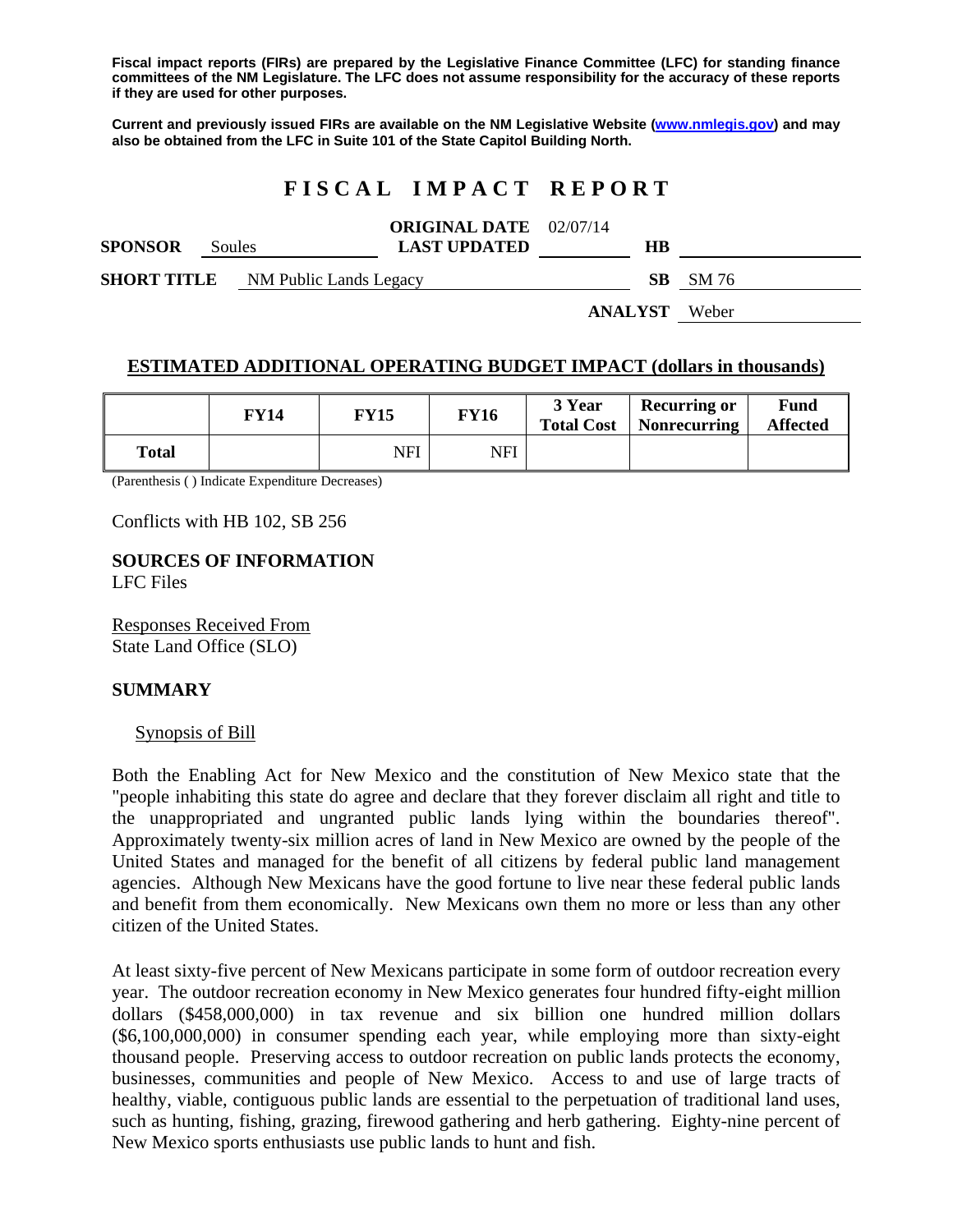**Fiscal impact reports (FIRs) are prepared by the Legislative Finance Committee (LFC) for standing finance committees of the NM Legislature. The LFC does not assume responsibility for the accuracy of these reports if they are used for other purposes.** 

**Current and previously issued FIRs are available on the NM Legislative Website (www.nmlegis.gov) and may also be obtained from the LFC in Suite 101 of the State Capitol Building North.** 

# **F I S C A L I M P A C T R E P O R T**

| <b>SPONSOR</b>                            | Soules |  | <b>ORIGINAL DATE</b> 02/07/14<br><b>LAST UPDATED</b> |                      | HВ |                 |
|-------------------------------------------|--------|--|------------------------------------------------------|----------------------|----|-----------------|
| <b>SHORT TITLE</b> NM Public Lands Legacy |        |  |                                                      |                      |    | <b>SB</b> SM 76 |
|                                           |        |  |                                                      | <b>ANALYST</b> Weber |    |                 |

### **ESTIMATED ADDITIONAL OPERATING BUDGET IMPACT (dollars in thousands)**

|       | FY 14 | <b>FY15</b> | <b>FY16</b> | 3 Year<br><b>Total Cost</b> | <b>Recurring or</b><br>Nonrecurring | Fund<br><b>Affected</b> |
|-------|-------|-------------|-------------|-----------------------------|-------------------------------------|-------------------------|
| Total |       | NFI         | NFI         |                             |                                     |                         |

(Parenthesis ( ) Indicate Expenditure Decreases)

Conflicts with HB 102, SB 256

**SOURCES OF INFORMATION**  LFC Files

Responses Received From State Land Office (SLO)

#### **SUMMARY**

#### Synopsis of Bill

Both the Enabling Act for New Mexico and the constitution of New Mexico state that the "people inhabiting this state do agree and declare that they forever disclaim all right and title to the unappropriated and ungranted public lands lying within the boundaries thereof". Approximately twenty-six million acres of land in New Mexico are owned by the people of the United States and managed for the benefit of all citizens by federal public land management agencies. Although New Mexicans have the good fortune to live near these federal public lands and benefit from them economically. New Mexicans own them no more or less than any other citizen of the United States.

At least sixty-five percent of New Mexicans participate in some form of outdoor recreation every year. The outdoor recreation economy in New Mexico generates four hundred fifty-eight million dollars (\$458,000,000) in tax revenue and six billion one hundred million dollars (\$6,100,000,000) in consumer spending each year, while employing more than sixty-eight thousand people. Preserving access to outdoor recreation on public lands protects the economy, businesses, communities and people of New Mexico. Access to and use of large tracts of healthy, viable, contiguous public lands are essential to the perpetuation of traditional land uses, such as hunting, fishing, grazing, firewood gathering and herb gathering. Eighty-nine percent of New Mexico sports enthusiasts use public lands to hunt and fish.